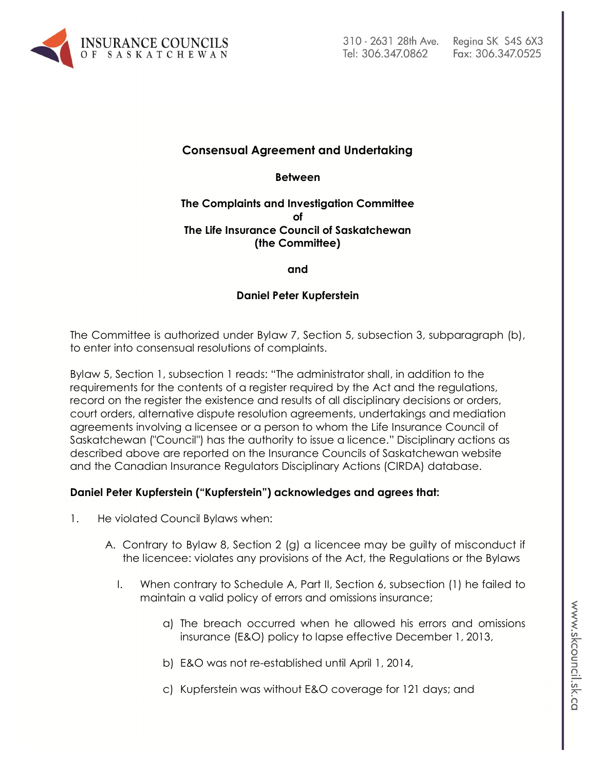

**Consensual Agreement and Undertaking**

**Between**

#### **The Complaints and Investigation Committee of The Life Insurance Council of Saskatchewan (the Committee)**

**and**

# **Daniel Peter Kupferstein**

The Committee is authorized under Bylaw 7, Section 5, subsection 3, subparagraph (b), to enter into consensual resolutions of complaints.

Bylaw 5, Section 1, subsection 1 reads: "The administrator shall, in addition to the requirements for the contents of a register required by the Act and the regulations, record on the register the existence and results of all disciplinary decisions or orders, court orders, alternative dispute resolution agreements, undertakings and mediation agreements involving a licensee or a person to whom the Life Insurance Council of Saskatchewan ("Council") has the authority to issue a licence." Disciplinary actions as described above are reported on the Insurance Councils of Saskatchewan website and the Canadian Insurance Regulators Disciplinary Actions (CIRDA) database.

# **Daniel Peter Kupferstein ("Kupferstein") acknowledges and agrees that:**

- 1. He violated Council Bylaws when:
	- A. Contrary to Bylaw 8, Section 2 (g) a licencee may be guilty of misconduct if the licencee: violates any provisions of the Act, the Regulations or the Bylaws
		- I. When contrary to Schedule A, Part II, Section 6, subsection (1) he failed to maintain a valid policy of errors and omissions insurance;
			- a) The breach occurred when he allowed his errors and omissions insurance (E&O) policy to lapse effective December 1, 2013,
			- b) E&O was not re-established until April 1, 2014,
			- c) Kupferstein was without E&O coverage for 121 days; and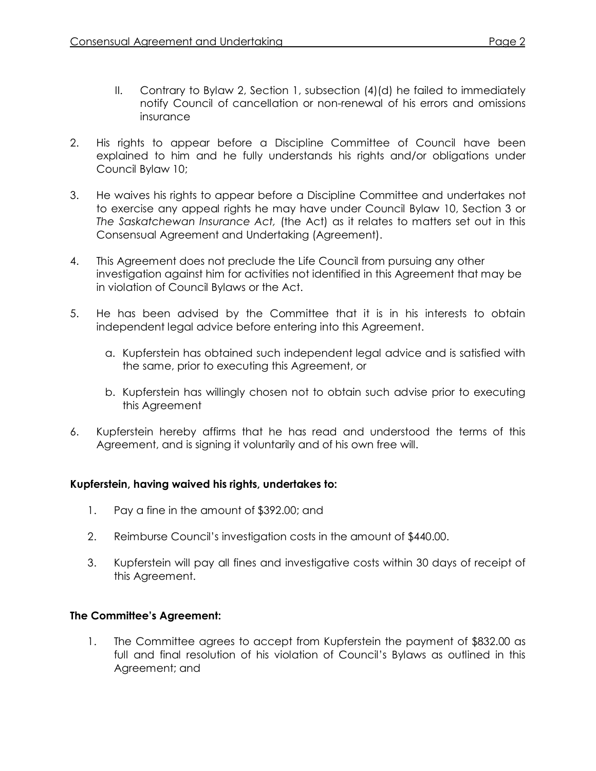- II. Contrary to Bylaw 2, Section 1, subsection (4)(d) he failed to immediately notify Council of cancellation or non-renewal of his errors and omissions insurance
- 2. His rights to appear before a Discipline Committee of Council have been explained to him and he fully understands his rights and/or obligations under Council Bylaw 10;
- 3. He waives his rights to appear before a Discipline Committee and undertakes not to exercise any appeal rights he may have under Council Bylaw 10, Section 3 or *The Saskatchewan Insurance Act,* (the Act) as it relates to matters set out in this Consensual Agreement and Undertaking (Agreement).
- 4. This Agreement does not preclude the Life Council from pursuing any other investigation against him for activities not identified in this Agreement that may be in violation of Council Bylaws or the Act.
- 5. He has been advised by the Committee that it is in his interests to obtain independent legal advice before entering into this Agreement.
	- a. Kupferstein has obtained such independent legal advice and is satisfied with the same, prior to executing this Agreement, or
	- b. Kupferstein has willingly chosen not to obtain such advise prior to executing this Agreement
- 6. Kupferstein hereby affirms that he has read and understood the terms of this Agreement, and is signing it voluntarily and of his own free will.

# **Kupferstein, having waived his rights, undertakes to:**

- 1. Pay a fine in the amount of \$392.00; and
- 2. Reimburse Council's investigation costs in the amount of \$440.00.
- 3. Kupferstein will pay all fines and investigative costs within 30 days of receipt of this Agreement.

#### **The Committee's Agreement:**

1. The Committee agrees to accept from Kupferstein the payment of \$832.00 as full and final resolution of his violation of Council's Bylaws as outlined in this Agreement; and